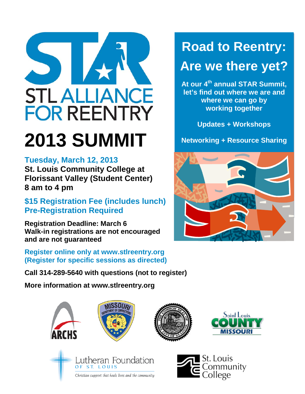

# **2013 SUMMIT**

### **Tuesday, March 12, 2013**

**St. Louis Community College at Florissant Valley (Student Center) 8 am to 4 pm**

### **\$15 Registration Fee (includes lunch) Pre-Registration Required**

**Registration Deadline: March 6 Walk-in registrations are not encouraged and are not guaranteed**

**Register online only at www.stlreentry.org (Register for specific sessions as directed)**

**Call 314-289-5640 with questions (not to register)**

ISS07

**More information at www.stlreentry.org**

## **Road to Reentry:**

## **Are we there yet?**

**At our 4th annual STAR Summit, let's find out where we are and where we can go by working together**

**Updates + Workshops**

**Networking + Resource Sharing**







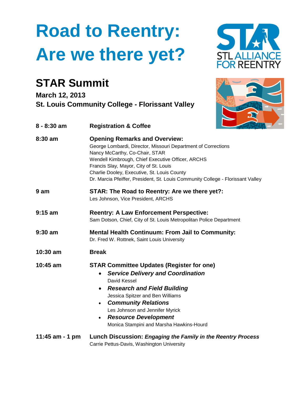# **Road to Reentry: Are we there yet?**

### **STAR Summit**

**March 12, 2013 St. Louis Community College - Florissant Valley**

| $8 - 8:30$ am     | <b>Registration &amp; Coffee</b>                                                                                                                                                                                                                                                                                                                                          |
|-------------------|---------------------------------------------------------------------------------------------------------------------------------------------------------------------------------------------------------------------------------------------------------------------------------------------------------------------------------------------------------------------------|
| $8:30$ am         | <b>Opening Remarks and Overview:</b><br>George Lombardi, Director, Missouri Department of Corrections<br>Nancy McCarthy, Co-Chair, STAR<br>Wendell Kimbrough, Chief Executive Officer, ARCHS<br>Francis Slay, Mayor, City of St. Louis<br>Charlie Dooley, Executive, St. Louis County<br>Dr. Marcia Pfeiffer, President, St. Louis Community College - Florissant Valley  |
| 9 am              | STAR: The Road to Reentry: Are we there yet?:<br>Les Johnson, Vice President, ARCHS                                                                                                                                                                                                                                                                                       |
| $9:15$ am         | <b>Reentry: A Law Enforcement Perspective:</b><br>Sam Dotson, Chief, City of St. Louis Metropolitan Police Department                                                                                                                                                                                                                                                     |
| $9:30$ am         | <b>Mental Health Continuum: From Jail to Community:</b><br>Dr. Fred W. Rottnek, Saint Louis University                                                                                                                                                                                                                                                                    |
| $10:30$ am        | <b>Break</b>                                                                                                                                                                                                                                                                                                                                                              |
| 10:45 am          | <b>STAR Committee Updates (Register for one)</b><br><b>Service Delivery and Coordination</b><br>$\bullet$<br>David Kessel<br><b>Research and Field Building</b><br>$\bullet$<br>Jessica Spitzer and Ben Williams<br><b>Community Relations</b><br>$\bullet$<br>Les Johnson and Jennifer Myrick<br><b>Resource Development</b><br>Monica Stampini and Marsha Hawkins-Hourd |
| 11:45 $am - 1 pm$ | Lunch Discussion: Engaging the Family in the Reentry Process<br>Carrie Pettus-Davis, Washington University                                                                                                                                                                                                                                                                |



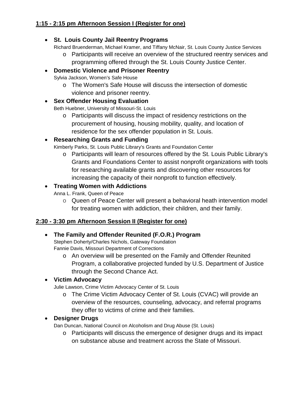#### • **St. Louis County Jail Reentry Programs**

Richard Bruenderman, Michael Kramer, and Tiffany McNair, St. Louis County Justice Services

o Participants will receive an overview of the structured reentry services and programming offered through the St. Louis County Justice Center.

#### • **Domestic Violence and Prisoner Reentry**

Sylvia Jackson, Women's Safe House

o The Women's Safe House will discuss the intersection of domestic violence and prisoner reentry.

#### • **Sex Offender Housing Evaluation**

Beth Huebner, University of Missouri-St. Louis

o Participants will discuss the impact of residency restrictions on the procurement of housing, housing mobility, quality, and location of residence for the sex offender population in St. Louis.

#### • **Researching Grants and Funding**

Kimberly Parks, St. Louis Public Library's Grants and Foundation Center

o Participants will learn of resources offered by the St. Louis Public Library's Grants and Foundations Center to assist nonprofit organizations with tools for researching available grants and discovering other resources for increasing the capacity of their nonprofit to function effectively.

#### • **Treating Women with Addictions**

Anna L. Frank, Queen of Peace

 $\circ$  Queen of Peace Center will present a behavioral heath intervention model for treating women with addiction, their children, and their family.

#### **2:30 - 3:30 pm Afternoon Session II (Register for one)**

#### • **The Family and Offender Reunited (F.O.R.) Program**

Stephen Doherty/Charles Nichols, Gateway Foundation Fannie Davis, Missouri Department of Corrections

o An overview will be presented on the Family and Offender Reunited Program, a collaborative projected funded by U.S. Department of Justice through the Second Chance Act.

#### • **Victim Advocacy**

Julie Lawson, Crime Victim Advocacy Center of St. Louis

o The Crime Victim Advocacy Center of St. Louis (CVAC) will provide an overview of the resources, counseling, advocacy, and referral programs they offer to victims of crime and their families.

#### • **Designer Drugs**

Dan Duncan, National Council on Alcoholism and Drug Abuse (St. Louis)

o Participants will discuss the emergence of designer drugs and its impact on substance abuse and treatment across the State of Missouri.